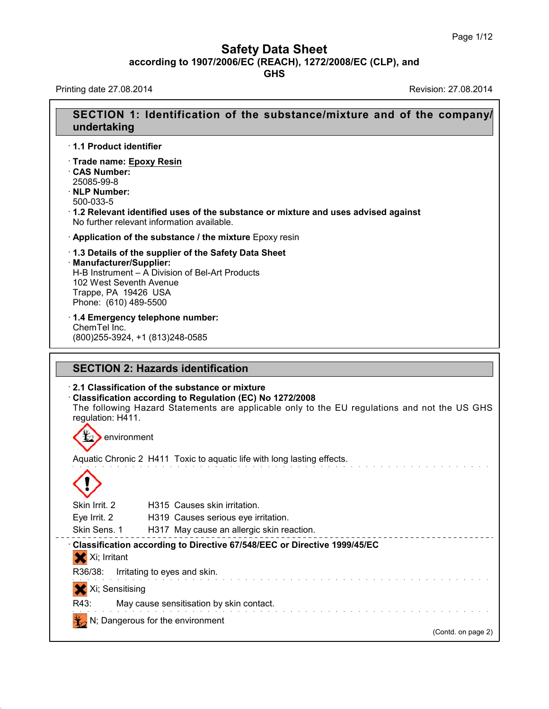## **Safety Data Sheet**<br> **according to 1907/2006/EC (REACH), 1272/2008/EC (CLP), and**<br> **GHS** Safety Data Sheet<br>according to 1907/2006/EC (REACH), 1272/2008/EC (CLP), and<br>Frinting date 27.08.2014<br>Revision: 27.08.2014

39.1.1

| <b>GHS</b>                                                                                                                                                                                                              | according to 1907/2006/EC (REACH), 1272/2008/EC (CLP), and |
|-------------------------------------------------------------------------------------------------------------------------------------------------------------------------------------------------------------------------|------------------------------------------------------------|
| Printing date 27.08.2014                                                                                                                                                                                                | Revision: 27.08.2014                                       |
| SECTION 1: Identification of the substance/mixture and of the company/<br>undertaking                                                                                                                                   |                                                            |
| 1.1 Product identifier                                                                                                                                                                                                  |                                                            |
| · Trade name: Epoxy Resin<br>CAS Number:<br>25085-99-8<br>· NLP Number:<br>500-033-5<br>1.2 Relevant identified uses of the substance or mixture and uses advised against<br>No further relevant information available. |                                                            |
| Application of the substance / the mixture Epoxy resin                                                                                                                                                                  |                                                            |
| 1.3 Details of the supplier of the Safety Data Sheet<br>· Manufacturer/Supplier:<br>H-B Instrument - A Division of Bel-Art Products<br>102 West Seventh Avenue<br>Trappe, PA 19426 USA<br>Phone: (610) 489-5500         |                                                            |
| 1.4 Emergency telephone number:<br>ChemTel Inc.<br>(800) 255-3924, +1 (813) 248-0585                                                                                                                                    |                                                            |
| <b>SECTION 2: Hazards identification</b>                                                                                                                                                                                |                                                            |
| 2.1 Classification of the substance or mixture<br>Classification according to Regulation (EC) No 1272/2008                                                                                                              |                                                            |
| The following Hazard Statements are applicable only to the EU regulations and not the US GHS<br>regulation: H411.                                                                                                       |                                                            |
| environment                                                                                                                                                                                                             |                                                            |
| Aquatic Chronic 2 H411 Toxic to aquatic life with long lasting effects.                                                                                                                                                 |                                                            |
|                                                                                                                                                                                                                         |                                                            |
| Skin Irrit. 2<br>H315 Causes skin irritation.<br>Eye Irrit. 2<br>H319 Causes serious eye irritation.<br>Skin Sens. 1<br>H317 May cause an allergic skin reaction.                                                       |                                                            |
| Classification according to Directive 67/548/EEC or Directive 1999/45/EC<br>X Xi; Irritant                                                                                                                              |                                                            |
| R36/38:<br>Irritating to eyes and skin.                                                                                                                                                                                 |                                                            |
| Xi; Sensitising                                                                                                                                                                                                         |                                                            |
| R43:<br>May cause sensitisation by skin contact.<br>N; Dangerous for the environment                                                                                                                                    |                                                            |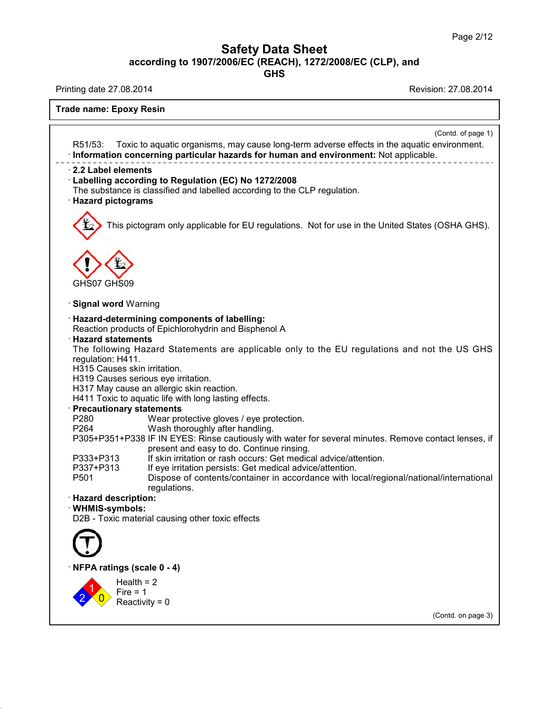## **Safety Data Sheet**<br> **according to 1907/2006/EC (REACH), 1272/2008/EC (CLP), and**<br> **GHS** Safety Data Sheet<br>according to 1907/2006/EC (REACH), 1272/2008/EC (CLP), and<br>Printing date 27.08.2014<br>Frade name: Enoxy Pesin

39.1.1

|                                                                                                                                                                                                                                                                                                                                                                                                                                                                                                                                                                                                                                                                                                                                                                                                                                                                                                                                                                                                                                                                                                                  | according to 1907/2006/EC (REACH), 1272/2008/EC (CLP), and<br><b>GHS</b> |  |
|------------------------------------------------------------------------------------------------------------------------------------------------------------------------------------------------------------------------------------------------------------------------------------------------------------------------------------------------------------------------------------------------------------------------------------------------------------------------------------------------------------------------------------------------------------------------------------------------------------------------------------------------------------------------------------------------------------------------------------------------------------------------------------------------------------------------------------------------------------------------------------------------------------------------------------------------------------------------------------------------------------------------------------------------------------------------------------------------------------------|--------------------------------------------------------------------------|--|
| Printing date 27.08.2014                                                                                                                                                                                                                                                                                                                                                                                                                                                                                                                                                                                                                                                                                                                                                                                                                                                                                                                                                                                                                                                                                         | Revision: 27.08.2014                                                     |  |
| <b>Trade name: Epoxy Resin</b>                                                                                                                                                                                                                                                                                                                                                                                                                                                                                                                                                                                                                                                                                                                                                                                                                                                                                                                                                                                                                                                                                   |                                                                          |  |
| Toxic to aquatic organisms, may cause long-term adverse effects in the aquatic environment.<br>R51/53:<br>· Information concerning particular hazards for human and environment: Not applicable.                                                                                                                                                                                                                                                                                                                                                                                                                                                                                                                                                                                                                                                                                                                                                                                                                                                                                                                 | (Contd. of page 1)                                                       |  |
| 2.2 Label elements<br>Labelling according to Regulation (EC) No 1272/2008<br>The substance is classified and labelled according to the CLP regulation.<br>· Hazard pictograms                                                                                                                                                                                                                                                                                                                                                                                                                                                                                                                                                                                                                                                                                                                                                                                                                                                                                                                                    |                                                                          |  |
| This pictogram only applicable for EU regulations. Not for use in the United States (OSHA GHS).                                                                                                                                                                                                                                                                                                                                                                                                                                                                                                                                                                                                                                                                                                                                                                                                                                                                                                                                                                                                                  |                                                                          |  |
| GHS07 GHS09                                                                                                                                                                                                                                                                                                                                                                                                                                                                                                                                                                                                                                                                                                                                                                                                                                                                                                                                                                                                                                                                                                      |                                                                          |  |
| <b>Signal word Warning</b>                                                                                                                                                                                                                                                                                                                                                                                                                                                                                                                                                                                                                                                                                                                                                                                                                                                                                                                                                                                                                                                                                       |                                                                          |  |
| · Hazard-determining components of labelling:<br>Reaction products of Epichlorohydrin and Bisphenol A<br><b>Hazard statements</b><br>The following Hazard Statements are applicable only to the EU regulations and not the US GHS<br>regulation: H411.<br>H315 Causes skin irritation.<br>H319 Causes serious eye irritation.<br>H317 May cause an allergic skin reaction.<br>H411 Toxic to aquatic life with long lasting effects.<br>· Precautionary statements<br>P280<br>Wear protective gloves / eye protection.<br>P264<br>Wash thoroughly after handling.<br>P305+P351+P338 IF IN EYES: Rinse cautiously with water for several minutes. Remove contact lenses, if<br>present and easy to do. Continue rinsing.<br>If skin irritation or rash occurs: Get medical advice/attention.<br>P333+P313<br>P337+P313<br>If eye irritation persists: Get medical advice/attention.<br>P <sub>501</sub><br>Dispose of contents/container in accordance with local/regional/national/international<br>regulations.<br>· Hazard description:<br>· WHMIS-symbols:<br>D2B - Toxic material causing other toxic effects |                                                                          |  |
|                                                                                                                                                                                                                                                                                                                                                                                                                                                                                                                                                                                                                                                                                                                                                                                                                                                                                                                                                                                                                                                                                                                  |                                                                          |  |
| NFPA ratings (scale 0 - 4)                                                                                                                                                                                                                                                                                                                                                                                                                                                                                                                                                                                                                                                                                                                                                                                                                                                                                                                                                                                                                                                                                       |                                                                          |  |
| Health $= 2$<br>Fire $= 1$                                                                                                                                                                                                                                                                                                                                                                                                                                                                                                                                                                                                                                                                                                                                                                                                                                                                                                                                                                                                                                                                                       |                                                                          |  |
| Reactivity = $0$                                                                                                                                                                                                                                                                                                                                                                                                                                                                                                                                                                                                                                                                                                                                                                                                                                                                                                                                                                                                                                                                                                 | (Contd. on page 3)                                                       |  |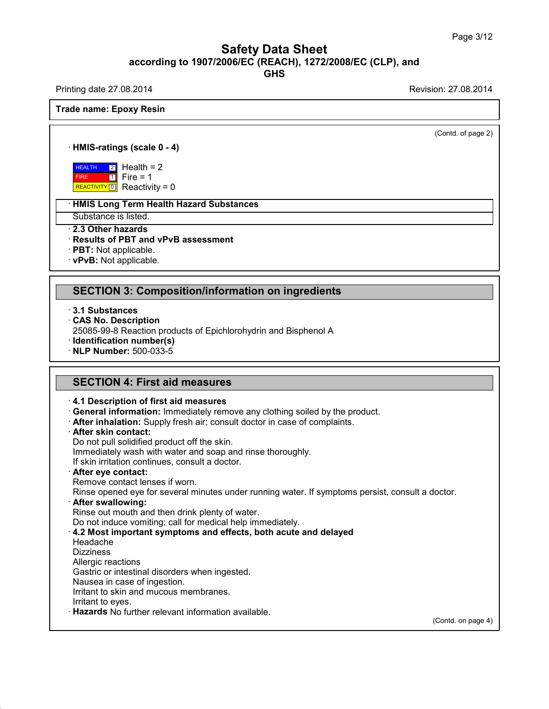### Safety Data Sheet<br><sub>006/EC (REACH), 1272/2008/EC (CLP),<br>GHS</sub> Page 3/12<br>**according to 1907/2006/EC (REACH), 1272/2008/EC (CLP), and<br><b>GHS**<br>Revision: 27.08.2014 **GHS** Safety Data Sheet<br>according to 1907/2006/EC (REACH), 1272/2008/EC (CLP), and<br>Printing date 27.08.2014<br>Frade name: Enoxy Pesin **Trade name: Epoxy Resin<br>
Trade name: Epoxy Resin<br>
Trade name: Epoxy Resin<br>
Trade name: Epoxy Resin<br>
Trade name: Epoxy Resin<br>
Trade name: Epoxy Resin<br>
Trade name: Epoxy Resin<br>
Trade name: Epoxy Resin<br>
Trade name: Epoxy Res**

 $\overline{(\text{Cond. of page 2})}$ 

# **ade name: Epoxy Resin<br>· HMIS-ratings (scale 0 - 4)**<br>· HEALTH 2 Health = 2

**HEALTH** 2 Hea FIRE REACTIVITY  $\boxed{0}$  Reactivity = 0  $1$  Fire = 1 ings (scale 0 - 4)<br>  $\frac{2}{1}$  Health = 2<br>
Fire = 1<br>
Reactivity = 0 **is (scale 0 - 4)**<br>Health = 2<br>Fire = 1<br>Reactivity = 0 is (scale 0 - 4)<br>Health = 2<br>Fire = 1<br>Reactivity = 0<br>Term Health Hazard Substan **HEALTH 2** Health = 2<br>
FIRE 1 Fire = 1<br>
REACTIVITY 0 Reactivity = 0<br> **HMIS Long Term Health Hazard Substances**<br>
Substance is listed. **EXALTH 2 Health = 2**<br>
FIRE Fire = 1<br> **REACTIVITY 0** Reactivity = 0<br> **HMIS Long Term Health Hazar**<br>
Substance is listed.<br> **2.3 Other hazards<br>
Results of PBT and vPvB asse<br>
PBT: Not applicable.** 

# **Example Transfer Mealth Hazard Substances<br>
Substance is listed.<br>
2.3 Other hazards<br>
Results of PBT and vPvB assessment<br>
PBT: Not applicable.<br>
YPvB: Not applicable**

• **HMIS Long Term Health Haz**<br>
Substance is listed.<br>
• **2.3 Other hazards**<br>
• **Results of PBT and vPvB as**<br>
• **PBT**: Not applicable.<br>
• **vPvB**: Not applicable.

### **SECTION 3: Composition/information on ingredients**<br> **SECTION 3: Composition/information on ingredients**<br> **SECTION 3: Composition/information on ingredients**<br>
3.1 Substances **SECTION 3: Compo:**<br>**3.1 Substances**<br>**CAS No. Description**<br>25085-99-8 Reaction proc **SECTION 3: Composition<br>
3.1 Substances<br>
CAS No. Description<br>
25085-99-8 Reaction products of<br>
Lentification number(s)** SECTION 3: Composition/information on ingredients<br>3.1 Substances<br>CAS No. Description<br>25085-99-8 Reaction products of Epichlorohydrin and Bisphenol A<br>Identification number(s)<br>NJ P Number: 500,033.5

**SECTION 3: Composition/**<br> **BECTION 3: Composition**<br> **CAS No. Description**<br> **EXECTION 25085-99-8 Reaction products of<br>
<b>REP Number: 500-033-5 3.1 Substances<br>
CAS No. Description<br>
25085-99-8 Reaction products of E<br>
<b>Hentification number(s)**<br>
NLP Number: 500-033-5 **CAS NO. Description**<br>25085-99-8 Reaction products of Epichlorohydrin and<br>**Identification number(s)**<br>**NLP Number:** 500-033-5<br>**SECTION 4: First aid measures**<br>4.1 Description of first aid measures

**RECTION 4: First aid measures**<br> **ECTION 4: First aid measures**<br> **A.1 Description of first aid measures**<br> **Ceneral information:** Immediately remove any clothing soiled by the product.<br> **After inhalation:** Supply fresh air; **SECTION 4: First aid measures**<br> **4.1 Description of first aid measures**<br> **General information:** Immediately remove any clothing soiled by the product.<br> **After inhalation:** Supply fresh air; consult doctor in case of compl 4.1 Description of first aid measures<br>General information: Immediately remove any clothin<br>After inhalation: Supply fresh air; consult doctor in case<br>After skin contact:<br>Do not pull solidified product off the skin.<br>Immediat 4.1 Description of first aid measures<br>
General information: Immediately remove any clothing soiled by the<br>
After inhalation: Supply fresh air; consult doctor in case of complain<br>
After skin contact:<br>
Do not pull solidified

If Seneral information: Immediately remove any clothin<br> **After inhalation:** Supply fresh air; consult doctor in case<br> **After skin contact:**<br>
Do not pull solidified product off the skin.<br>
Immediately wash with water and soa

After skin contact:<br>Do not pull solidified product off the skin.<br>Immediately wash with water and soap and ri<br>If skin irritation continues, consult a doctor.<br>After eye contact lenses if worn.<br>Rinse opened eye for several mi

Do not pull solidified product off the skin.<br>
Immediately wash with water and soap and rinse thoroughly.<br>
If skin irritation continues, consult a doctor.<br> **After eye contact:**<br>
Remove contact lenses if worn.<br>
Rinse opened If skin irritation continues, consult a doctor.<br> **After eye contact:**<br>
Remove contact lenses if worn.<br>
Rinse opened eye for several minutes under running water.<br> **After swallowing:**<br>
Rinse out mouth and then drink plenty o **Example 3 After eye contact:**<br>
Rinse opened eye for several minutes under running water. If symptoms persist, c<br> **After swallowing:**<br>
Rinse out mouth and then drink plenty of water.<br>
Do not induce vomiting; call for medic

Rinse out mouth and then  $\alpha$ <br>Do not induce vomiting; ca<br>**4.2 Most important symp**<br>Headache<br>Dizziness<br>Allergic reactions<br>Gastric or intestinal disorde<br>Nausea in case of ingestion

Do not induce vomiting; call for medical help immediate<br>4.2 Most important symptoms and effects, both act<br>Headache<br>Dizziness<br>Allergic reactions<br>Gastric or intestinal disorders when ingested.<br>Nausea in case of ingestion.<br>Ir

Headache

39.1.1

Dizziness<br>Allergic reactions

**4.2 Most important symptoms and Meadache<br>Dizziness<br>Dizziness<br>Allergic reactions<br>Gastric or intestinal disorders when in<br>Nausea in case of ingestion.<br>Irritant to skin and mucous membrane<br>Irritant to eves** Headache<br>Dizziness<br>Allergic reactions<br>Gastric or intestinal disorders when ingested.<br>Nausea in case of ingestion.<br>Irritant to skin and mucous membranes.<br>Irritant to eyes.<br>Hazards No further relevant information avails

Dizziness<br>
Allergic reactions<br>
Gastric or intestinal disorders when ingested.<br>
Nausea in case of ingestion.<br>
Irritant to skin and mucous membranes.<br>
Irritant to eyes.<br> **Hazards** No further relevant information available.

(Contd. on page 4)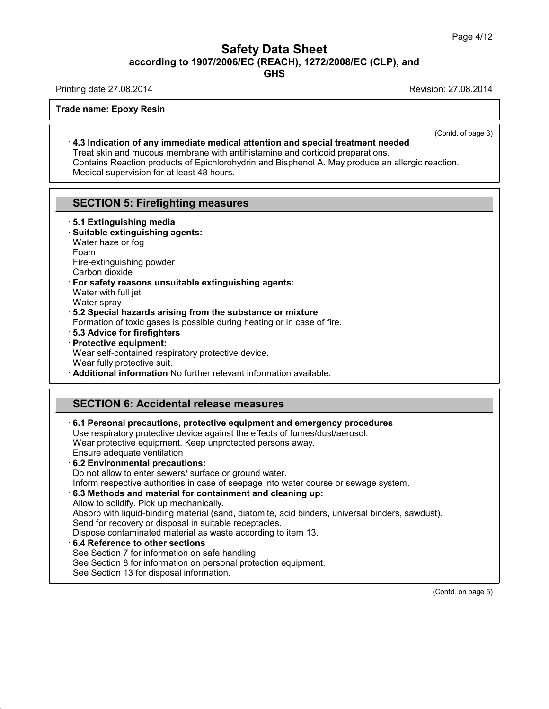## Safety Data Sheet<br><sub>006/EC (REACH), 1272/2008/EC (CLP),<br>GHS</sub> Page 4/12<br>**according to 1907/2006/EC (REACH), 1272/2008/EC (CLP), and<br>GHS<br>Revision: 27.08.2014<br>Revision: 27.08.2014** Safety Data Sheet<br>according to 1907/2006/EC (REACH), 1272/2008/EC (CLP), and<br>Printing date 27.08.2014<br>Frade name: Enoxy Pesin **Trade name: Epoxy Resin<br>
Trade name: Epoxy Resin<br>
Trade name: Epoxy Resin<br>
Trade name: Epoxy Resin<br>
Trade name: Epoxy Resin<br>
Trade name: Epoxy Resin<br>
Trade name: Epoxy Resin<br>
Trade name: Epoxy Resin<br>
Trade name: Epoxy Res**

**GHS**

 $\overline{(\text{Cond. of page 3})}$ 

<sup>1.3</sup><br>**Ade name: Epoxy Resin**<br>**4.3 Indication of any immediate medical attention and special treatment needed**<br>Treat skin and mucous membrane with antihistamine and corticoid preparations.<br>Contains Reaction products of Epi de name: Epoxy Resin<br>4.3 Indication of any immediate medical attention and special treatment needed<br>Treat skin and mucous membrane with antihistamine and corticoid preparations.<br>Contains Reaction products of Epichlorohydri Trade name: Epoxy Resin<br>
1.3 Indication of any immediate medical attention and special treatment needed<br>
Treat skin and mucous membrane with antihistamine and corticoid preparations.<br>
Contains Reaction products of Epichlor 4.3 Indication of any immediate medical attention<br>Treat skin and mucous membrane with antihistamine<br>Contains Reaction products of Epichlorohydrin and Bit<br>Medical supervision for at least 48 hours. **4.3 Indication or any Immediate medical attention and Treat skin and mucous membrane with antihistamine arcontains Reaction products of Epichlorohydrin and Bisp Medical supervision for at least 48 hours.<br>SECTION 5: Firefi** 

# **SECTION 5: Firefighting measures**<br>· **5.1 Extinguishing media**<br>· **Suitable extinguishing agents:**<br>Water haze or fog<br>Foam

- 
- Medical supervision for at least 48 house<br>
SECTION 5: Firefighting meas<br>
5.1 Extinguishing media<br>
Suitable extinguishing agents:<br>
Water haze or foo **SECTION 5: Firefighting m**<br>5.1 Extinguishing media<br>Suitable extinguishing agents:<br>Water haze or fog<br>Foam<br>Fire-extinguishing powder 5.1 Extinguishing media<br>Suitable extinguishing agents:<br>Water haze or fog<br>Foam<br>Fire-extinguishing powder<br>Carbon dioxide<br>For safety reasons unsuitable extin 5.1 Extinguishing media<br>Suitable extinguishing ag<br>Water haze or fog<br>Foam<br>Fire-extinguishing powder<br>Carbon dioxide<br>**For safety reasons unsui**<br>Water with full jet
- Foam

Fire-extinguishing powder

• **Suitable extinguishing agents:**<br>
Water haze or fog<br>
Foam<br>
Fire-extinguishing powder<br>
Carbon dioxide<br>
• **For safety reasons unsuitable extinguishing agents:**<br>
Water with full jet<br>
Water sprav Water haze or fog<br>
Foam<br>
Fire-extinguishing powder<br>
Carbon dioxide<br> **For safety reasons unsuitable extinguishing agents:**<br>
Water with full jet<br>
Water spray<br> **5.2 Special hazards arising from the substance or mixture** 

39.1.1

Formation of toxic gases is possible during heating or in case of fire.<br> **5.3 Advice for firefighters** 

- 
- Carbon dioxide<br>
For safety reasons unsuitable extinguishing agents:<br>
Water with full jet<br>
Water spray<br>
5.2 Special hazards arising from the substance or mixture<br>
Formation of toxic gases is possible during heating or in ca Water spray<br>
5.2 **Special hazards arising f**<br>
Formation of toxic gases is posenting<br> **Protective equipment:**<br>
Protective equipment:<br>
Wear self-contained respirator<br>
Wear fully protective suit. Water spray<br>**5.2 Special hazards arising from the substance or mixture**<br>Formation of toxic gases is possible during heating or in case<br>**5.3 Advice for firefighters**<br>**Protective equipment:**<br>Wear self-contained respiratory p **Brauding 19 Separation** from the substance or mixture<br>
Formation of toxic gases is possible during heating or in case of fire.<br> **Brauding 19 Separation**<br> **Protective equipment:**<br>
Wear self-contained respiratory protective

**Protective equipment:**<br>
Wear self-contained respiratory protective device.<br>
Wear fully protective suit.<br> **Additional information** No further relevant information available<br> **SECTION 6: Accidental release measures**<br>
6.1 Pe • **Additional Information No further relevant Information available.**<br> **SECTION 6: Accidental release measures**<br>
• **6.1 Personal precautions, protective equipment and emergency procedures**<br>
Use respiratory protective devic **SECTION 6: Accidental release measures<br>6.1 Personal precautions, protective equipment and emergency procedure**<br>Use respiratory protective device against the effects of fumes/dust/aerosol.<br>Wear protective equipment. Keep u **SECTION 6: Accidental release measures**<br>6.1 Personal precautions, protective equipment and emergency proce<br>Use respiratory protective device against the effects of fumes/dust/aerosol<br>Wear protective equipment. Keep unprot **SECTION 6: Accidental relea**<br>
6.1 Personal precautions, protective<br>
Use respiratory protective device aga<br>
Wear protective equipment. Keep un<br>
Ensure adequate ventilation<br>
6.2 Environmental precautions:<br>
Do not allow to e **6.1 Personal precautions, protective**<br>Use respiratory protective device agains<br>Wear protective equipment. Keep unpro<br>Ensure adequate ventilation<br>6.2 **Environmental precautions:**<br>Do not allow to enter sewers/ surface of<br>In 6.1 Personal precautions, protective equipment and emergenc<br>Use respiratory protective device against the effects of fumes/dust/<br>Wear protective equipment. Keep unprotected persons away.<br>Ensure adequate ventilation<br>6.2 Env Use respiratory protective device against the effects of fumes/dust/aerosol.<br>
Wear protective equipment. Keep unprotected persons away.<br> **6.2 Environmental precautions:**<br>
Do not allow to enter sewers/ surface or ground wat Ensure adequate ventilation<br>  $\cdot$  6.2 Environmental precautions:<br>
Do not allow to enter sewers/ surface or ground water.<br>
Inform respective authorities in case of seepage into water cours<br>  $\cdot$  6.3 Methods and material fo 6.2 Environmental precautions:<br>Do not allow to enter sewers/ surface or ground water.<br>Inform respective authorities in case of seepage into water course or sewage system.<br>6.3 Methods and material for containment and cleani Inform respective authorities in case of seepage into water course or sewage system.<br>
6.3 Methods and material for containment and cleaning up:<br>
Allow to solidify. Pick up mechanically.<br>
Absorb with liquid-binding material Inform respective authorities in case of seepage into water course or sewage s<br> **6.3 Methods and material for containment and cleaning up:**<br>
Allow to solidify. Pick up mechanically.<br>
Absorb with liquid-binding material (sa Allow to solidify. Pick up mechanically.<br>Absorb with liquid-binding material (sand, diatomite, acid<br>Send for recovery or disposal in suitable receptacles.<br>Dispose contaminated material as waste according to ite<br>6.4 Referen Absorb with liquid-binding material (sand, diatomite, acid binders, univer<br>Send for recovery or disposal in suitable receptacles.<br>Dispose contaminated material as waste according to item 13.<br>6.4 Reference to other sections Send for recovery or disposal in suitable recept<br>Dispose contaminated material as waste accor<br>6.4 Reference to other sections<br>See Section 7 for information on safe handling.<br>See Section 8 for information on personal prote<br> (Contd. on page 5)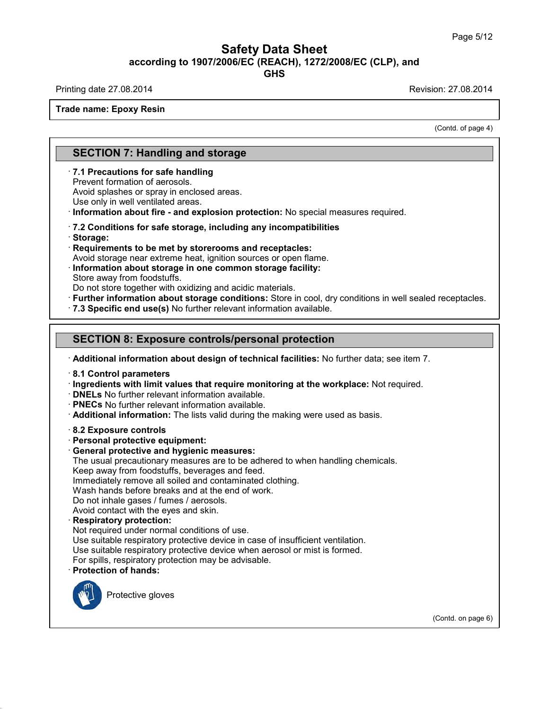## Safety Data Sheet<br><sub>006/EC (REACH), 1272/2008/EC (CLP),<br>GHS</sub> Page 5/12<br>**according to 1907/2006/EC (REACH), 1272/2008/EC (CLP), and<br>GHS<br>Revision: 27.08.2014<br>Revision: 27.08.2014** Safety Data Sheet<br>according to 1907/2006/EC (REACH), 1272/2008/EC (CLP), and<br>Printing date 27.08.2014<br>Frade name: Enoxy Pesin **Trade name: Epoxy Resin**<br>Trade name: Epoxy Resin

**GHS**

on: 27.08.2014<br>(Contd. of page 4)

# **SECTION 7: Handling and storage<br>
The SECTION 7: Handling and storage<br>
T.1 Precautions for safe handling**

**SECTION 7: Handling and storage**<br> **7.1 Precautions for safe handling**<br>
Prevent formation of aerosols.<br>
Avoid splashes or spray in enclosed areas. **SECTION 7: Handling and storally SECTION 7: Handling and storally Prevent formation of aerosols.**<br>Avoid splashes or spray in enclosed are **SECTION 7: Handling and storage**<br> **7.1 Precautions for safe handling**<br>
Prevent formation of aerosols.<br>
Avoid splashes or spray in enclosed areas.<br>
Use only in well ventilated areas.<br>
Information about fire - and explosion **SECTION 7: Handling and storage**<br> **7.1 Precautions for safe handling**<br>
Prevent formation of aerosols.<br>
Avoid splashes or spray in enclosed areas.<br>
Use only in well ventilated areas.<br> **1.1 Information about fire - and expl** 

Avoid storage near extreme heat, ignition sources or open flame.<br> **Avoid storage:**<br> **Avoid storage near extreme heat, ignition sources or open flame.**<br> **Avoid storage near extreme heat, ignition sources or open flame.**<br> **I** 

# Use only in well ventilated areas.<br> **COM Republic Transformation about fire - and explosion protection:** No special metals of **7.2** Conditions for safe storage, including any incompatibilities<br> **Requirements to be met by**

· **Storage:**

The Conditions for safe storage, including any incompatibilities<br>
Storage:<br>
Storage:<br>
Requirements to be met by storerooms and receptacles:<br>
Avoid storage near extreme heat, ignition sources or open flame.<br>
Information abo • Storage:<br>• Requirements to be met by storerooms and receptacles:<br>• Avoid storage near extreme heat, ignition sources or open flame.<br>• Information about storage in one common storage facility:<br>• Store away from foodstuffs Store away from loodstuns.<br>Do not store together with oxidizing and acidic materials.<br>**Further information about storage conditions:** Store in cool, dry conditions<br>7.3 Specific end use(s) No further relevant information av

· **7.3 Specific end use(s)** No further relevant information available.<br>
SECTION 8: Exposure controls/personal protection<br>
· Additional information about design of technical facilities: No further data; see item 7.<br>
· 8.1 SECTION 8: Exposure controls/personal protection<br>
Additional information about design of technical facilities: No further data; see item 7.<br>
8.1 Control parameters<br>
Ingredients with limit values that require monitoring at

- 
- 
- **DNELs** No further relevant information a<br>• **PNECs** No further relevant information a<br>• **Additional information:** The lists valid c<br>• **8.2 Exposure controls**<br>• **Personal protective equipment:**<br>• **General protective and h** • **PNECs** No further relevant information available.<br>• **Additional information:** The lists valid during the ma<br>• 8.2 **Exposure controls**<br>• **Personal protective equipment:**<br>• **General protective and hygienic measures:**<br>• Th
- 

Additional information: The lists valid during the making were used as basis.<br>
8.2 Exposure controls<br>
Personal protective equipment:<br>
General protective and hygienic measures:<br>
The usual precautionary measures are to be ad Reflective controls<br>
Reflective equipment:<br>
Seneral protective equipment:<br>
General protective and hygienic measures:<br>
The usual precautionary measures are to be adhered to when<br>
Keep away from foodstuffs, beverages and fee 8.2 Exposure controls<br>Personal protective equipment:<br>General protective and hygienic measures:<br>The usual precautionary measures are to be adhered to when handl<br>Keep away from foodstuffs, beverages and feed.<br>Immediately rem **Personal protective equipment:**<br> **General protective and hygienic measures:**<br>
The usual precautionary measures are to be adhered to when ha<br>
Keep away from foodstuffs, beverages and feed.<br>
Immediately remove all soiled an

**General protective and hygienic measures:**<br>The usual precautionary measures are to be adhered to w<br>Keep away from foodstuffs, beverages and feed.<br>Immediately remove all soiled and contaminated clothing.<br>Wash hands before The usual precautionary measures are to be adher<br>Keep away from foodstuffs, beverages and feed.<br>Immediately remove all soiled and contaminated cl<br>Wash hands before breaks and at the end of work.<br>Do not inhale gases / fumes

Immediately remove all soiled and contaminated clothing.<br>Wash hands before breaks and at the end of work.<br>Do not inhale gases / fumes / aerosols.<br>Avoid contact with the eyes and skin.<br>**Respiratory protection:**<br>Not required

Wash hands before breaks and at the end of work.<br>Do not inhale gases / fumes / aerosols.<br>Avoid contact with the eyes and skin.<br>**Respiratory protection:**<br>Not required under normal conditions of use.<br>Use suitable respiratory Do not inhale gases / fumes / aerosols.<br>Avoid contact with the eyes and skin.<br>**Respiratory protection:**<br>Not required under normal conditions of use.<br>Use suitable respiratory protective device in case of insufficient ventil For Spiral School and School School School School School School School School School School School School School School School School School School School School School School School School School School School School Scho Use suitable respiratory protective device when aerosol or mist is formed.<br>For spills, respiratory protection may be advisable.<br>**Protection of hands:**<br>Protective gloves



39.1.1

(Contd. on page 6)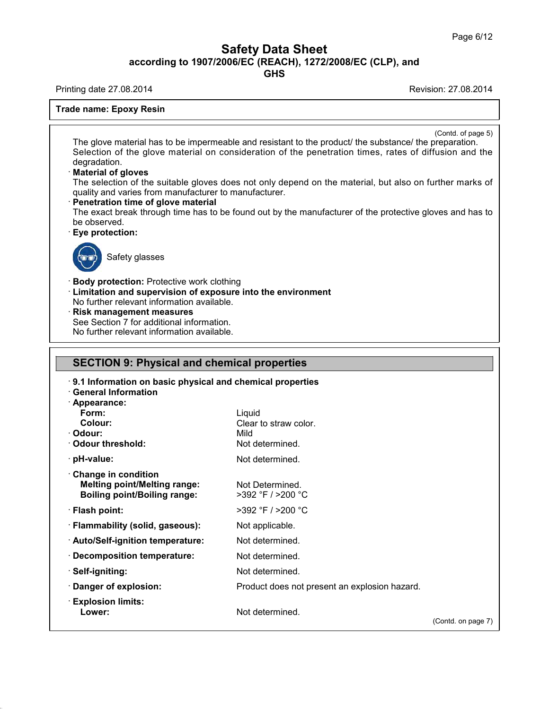## Safety Data Sheet<br><sub>006/EC (REACH), 1272/2008/EC (CLP),<br>GHS</sub> Page 6/12<br>**according to 1907/2006/EC (REACH), 1272/2008/EC (CLP), and<br><b>GHS**<br>Revision: 27.08.2014 Safety Data Sheet<br>according to 1907/2006/EC (REACH), 1272/2008/EC (CLP), and<br>Printing date 27.08.2014<br>Frade name: Enoxy Pesin **Trade name: Epoxy Resin<br>
Trade name: Epoxy Resin<br>
Trade name: Epoxy Resin<br>
Trade name: Epoxy Resin<br>
Trade name: Epoxy Resin<br>
Trade name: Epoxy Resin<br>
Trade name: Epoxy Resin<br>
Trade name: Epoxy Resin<br>
Trade name: Epoxy Res**

**GHS**

 $\overline{$ (Contd. of page 5)
<br>
reparation. The glove material has to be impermeable and resistant to the product/ the substance/ the preparation.<br>The glove material has to be impermeable and resistant to the product/ the substance/ the preparation.<br>Selection of the Selection of the glove material has to be impermeable and resistant to the product/ the substance/ the preparation.<br>Selection of the glove material on consideration of the penetration times, rates of diffusion and the degr degradation.<br>**Material of gloves** The glove material has to be impermeable and resistant to the product/ the substance/ the preparation. The glove material has to be impermeable and resistant to the product/ the substance/ the preparation.<br>Selection of the glove material on consideration of the penetration times, rates of diffusion and the degradation.<br>**Mat** The glove material has to be impermeable and resistant to<br>Selection of the glove material on consideration of the<br>degradation.<br>**· Material of gloves**<br>The selection of the suitable gloves does not only depen-<br>quality and va

degradation.<br> **Material of gloves**<br>
The selection of the suitable gloves does not only depend on the material, but also on further marks of<br>
quality and varies from manufacturer to manufacturer.<br> **Penetration time of glove** quality and varies from manufacturer to manufacturer.<br> **Penetration time of glove material**<br>
The exact break through time has to be found out by the observed.<br> **Eye protection:**<br>
Safety classes The exact break through time has to be found out by the manufacturer of the protective gloves and has to<br>be observed.<br>
Safety glasses<br>
Safety glasses<br>
Safety glasses<br>
Body protection: Protective work clothing



**Eye protection:**<br>
Safety glasses<br> **Body protection:** Protective work clothing<br> **Limitation and supervision of exposure into the er-<br>
No further relevant information available. Example 3**<br> **Example 3**<br> **Example 3**<br> **Example 3**<br> **Limitation and supervision of exposure into the environment<br>
No further relevant information available.<br>
<b>Risk management measures** Safety glasses<br> **Body protection:** Protective work clothing<br>
Limitation and supervision of exposure into the<br>
No further relevant information available.<br> **Risk management measures**<br>
See Section 7 for additional information **Body protection:** Protective work clothing<br> **Limitation and supervision of exposure into**<br>
No further relevant information available.<br> **Risk management measures**<br>
See Section 7 for additional information.<br>
No further rele Body protection: Protective work clothing<br>Limitation and supervision of exposure into the<br>No further relevant information available.<br>Risk management measures<br>See Section 7 for additional information.<br>No further relevant in

## No further relevant information available.<br>
Risk management measures<br>
See Section 7 for additional information.<br>
No further relevant information available.<br>
SECTION 9: Physical and chemical properties<br>
9.1 Information on b **SECTION 9: Physical and chemical properties<br>• 9.1 Information on basic physical and chemical properties<br>• General Information<br>• Appearance:**

39.1.1

| <b>SECTION 9: Physical and chemical properties</b><br>9.1 Information on basic physical and chemical properties<br><b>General Information</b> |                                               |                    |
|-----------------------------------------------------------------------------------------------------------------------------------------------|-----------------------------------------------|--------------------|
|                                                                                                                                               |                                               |                    |
|                                                                                                                                               |                                               |                    |
|                                                                                                                                               |                                               |                    |
| · Appearance:<br>Form:                                                                                                                        | Liquid                                        |                    |
| Colour:                                                                                                                                       | Clear to straw color.                         |                    |
| · Odour:                                                                                                                                      | Mild                                          |                    |
| Odour threshold:                                                                                                                              | Not determined.                               |                    |
| $\cdot$ pH-value:                                                                                                                             | Not determined.                               |                    |
| Change in condition                                                                                                                           |                                               |                    |
| <b>Melting point/Melting range:</b>                                                                                                           | Not Determined.                               |                    |
| <b>Boiling point/Boiling range:</b>                                                                                                           | $>392$ °F / $>200$ °C                         |                    |
| · Flash point:                                                                                                                                | >392 °F / >200 °C                             |                    |
| · Flammability (solid, gaseous):                                                                                                              | Not applicable.                               |                    |
| · Auto/Self-ignition temperature:                                                                                                             | Not determined.                               |                    |
| · Decomposition temperature:                                                                                                                  | Not determined.                               |                    |
| · Self-igniting:                                                                                                                              | Not determined.                               |                    |
| · Danger of explosion:                                                                                                                        | Product does not present an explosion hazard. |                    |
| $\cdot$ Explosion limits:                                                                                                                     |                                               |                    |
| Lower:                                                                                                                                        | Not determined.                               | (Contd. on page 7) |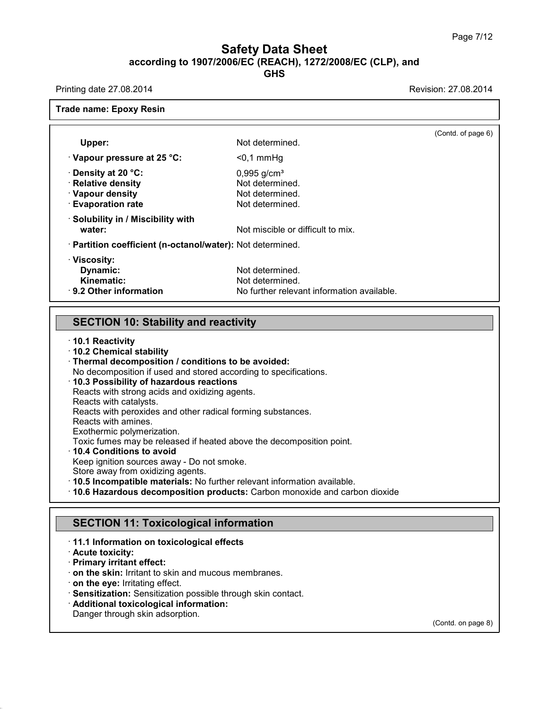## Safety Data Sheet<br><sub>006/EC (REACH), 1272/2008/EC (CLP),<br>GHS</sub> Page 7/12<br>**according to 1907/2006/EC (REACH), 1272/2008/EC (CLP), and<br>GHS<br>Revision: 27.08.2014<br>Revision: 27.08.2014** Safety Data Sheet<br>according to 1907/2006/EC (REACH), 1272/2008/EC (CLP), and<br>Printing date 27.08.2014<br>Frade name: Enoxy Pesin

| Printing date 27.08.2014                                                                 |                                                                                    | Revision: 27.08.2014 |
|------------------------------------------------------------------------------------------|------------------------------------------------------------------------------------|----------------------|
| <b>Trade name: Epoxy Resin</b>                                                           |                                                                                    |                      |
| Upper:                                                                                   | Not determined.                                                                    | (Contd. of page 6)   |
| $\cdot$ Vapour pressure at 25 °C:                                                        | $0,1$ mmHg                                                                         |                      |
| · Density at 20 °C:<br>· Relative density<br>· Vapour density<br><b>Evaporation rate</b> | $0,995$ g/cm <sup>3</sup><br>Not determined.<br>Not determined.<br>Not determined. |                      |
| · Solubility in / Miscibility with<br>water:                                             | Not miscible or difficult to mix.                                                  |                      |
| · Partition coefficient (n-octanol/water): Not determined.                               |                                                                                    |                      |
| · Viscosity:<br>Dynamic:<br>Kinematic:<br>· 9.2 Other information                        | Not determined.<br>Not determined.<br>No further relevant information available.   |                      |
|                                                                                          |                                                                                    |                      |
| <b>SECTION 10: Stability and reactivity</b>                                              |                                                                                    |                      |

# **SECTION 10: Stability and**<br>10.1 Reactivity<br>10.2 Chemical stability<br>Thermal decomposition / condition<br>No decomposition if used and store

**SECTION 10: Stability and reactivity**<br>
10.1 Reactivity<br>
10.2 Chemical stability<br>
Thermal decomposition / conditions to be avoided:<br>
No decomposition if used and stored according to specifications.<br>
10.3 Possibility of haz **SECTION 10: Stability and reactivity**<br>
10.1 Reactivity<br>
10.2 Chemical stability<br>
Thermal decomposition / conditions to be avoided:<br>
No decomposition if used and stored according to specifications.<br>
10.3 Possibility of haz 10.1 Reactivity<br>10.2 Chemical stability<br>Thermal decomposition / conditions to be avoided:<br>No decomposition if used and stored according to specific<br>10.3 Possibility of hazardous reactions<br>Reacts with strong acids and oxidi Thermal decomposition / conditions to be avoided:<br>No decomposition if used and stored according to specifications.<br>10.3 Possibility of hazardous reactions<br>Reacts with strong acids and oxidizing agents.<br>Reacts with peroxide

Thermal decomposition / conditions to be avoided:<br>
No decomposition if used and stored according to specification<br>
10.3 Possibility of hazardous reactions<br>
Reacts with strong acids and oxidizing agents.<br>
Reacts with cataly **10.3 Possibility of hazardous reactions**<br>Reacts with strong acids and oxidizing age<br>Reacts with catalysts.<br>Reacts with peroxides and other radical fo<br>Reacts with amines.<br>Exothermic polymerization.

Reacts with strong acids and oxidizing agents.<br>
Reacts with catalysts.<br>
Reacts with peroxides and other radical formin<br>
Reacts with amines.<br>
Exothermic polymerization.<br>
Toxic fumes may be released if heated above<br>
10.4 Con Reacts with strong acids and oxidizing agents.<br>
Reacts with catalysts.<br>
Reacts with peroxides and other radical forming substances.<br>
Reacts with amines.<br>
Exothermic polymerization.<br>
Toxic fumes may be released if heated ab Toxic fumes may be released if heated above the decomposition point.<br>
10.4 Conditions to avoid<br>
Keep ignition sources away - Do not smoke.<br>
Store away from oxidizing agents.<br>
10.5 Incompatible materials: No further relevan

Reacts with amines.<br>
Exothermic polymerization.<br>
Toxic fumes may be released if heated above the decomposition point.<br> **10.4 Conditions to avoid**<br>
Keep ignition sources away - Do not smoke.<br>
Store away from oxidizing agent **10.6 Hazardous decomposition products:** Carbon monoxide and carbon dioxide<br> **SECTION 11: Toxicological information**<br>
11.1 Information on toxicological effects<br>
Acute toxicity:

### **11.6 Hazardous decomposition products:** Carbon m<br> **SECTION 11: Toxicological information**<br> **11.1 Information on toxicological effects**<br> **Acute toxicity:**<br>
Primary irritant effect: **SECTION 11: Toxico**<br> **Acute toxicity:**<br> **Acute toxicity:**<br> **Primary irritant effect:**<br> **Con the skin:** Irritant to skin: **SECTION 11: Toxicological**<br>11.1 Information on toxicological<br>2 Acute toxicity:<br>Primary irritant effect:<br>1 on the skin: Irritant to skin and mude on the eve: Irritating effect.

39.1.1

**SECTION 11: Toxicological information**<br> **contain to skint to skin and mucous membranes.**<br> **con the eye:** Irritating effect.<br> **contact information:**<br> **contact.** · **Sensitization:** Sensitization possible through skin contac **Primary irritant effect:**<br> **ORIGINE:** Irritant to skin and mucous membranes.<br> **ORIGINE:** On the eye: Irritating effect.<br> **CRIGINE:** Sensitization: Sensitization possible through skin contact.<br> **Additional toxicological i** 

(Contd. on page 8)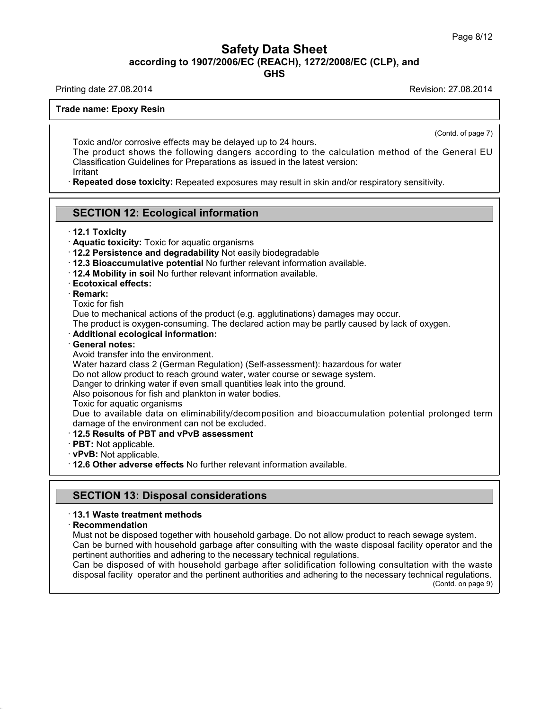## Safety Data Sheet<br><sub>006/EC (REACH), 1272/2008/EC (CLP),<br>GHS</sub> Page 8/12<br>**according to 1907/2006/EC (REACH), 1272/2008/EC (CLP), and<br>GHS<br>Revision: 27.08.2014<br>Revision: 27.08.2014** Safety Data Sheet<br>according to 1907/2006/EC (REACH), 1272/2008/EC (CLP), and<br>Printing date 27.08.2014<br>Frade name: Enoxy Pesin **Trade name: Epoxy Resin<br>
Trade name: Epoxy Resin<br>
Trade name: Epoxy Resin<br>
Trade name: Epoxy Resin<br>
Trade name: Epoxy Resin<br>
Trade name: Epoxy Resin<br>
Trade name: Epoxy Resin<br>
Trade name: Epoxy Resin<br>
Trade name: Epoxy Res**

**GHS**

 $\overline{$ <br>
(Contd. of page 7)<br>  $\overline{Q}$ 

Toxic and/or corrosive effects may be delayed up to 24 hours.<br>Toxic and/or corrosive effects may be delayed up to 24 hours.<br>The product shows the following dangers according to the calculation<br>Classification Guidelines for Toxic and/or corrosive effects may be delayed up to 24 hours.<br>The product shows the following dangers according to the calculation method of the General EU<br>Classification Guidelines for Preparations as issued in the latest Toxic and/or corrosive effects may be delayed up to 24 hours.<br>The product shows the following dangers according to the calculation methodias<br>Classification Guidelines for Preparations as issued in the latest version:<br>Irrit Toxic and/or corrosive effects may be delayed up to 24 hours.<br>The product shows the following dangers according to the calculation method of the General<br>Classification Guidelines for Preparations as issued in the latest ve Classification Guidelines for Preparations as issued in the latest version:<br>
Irritant<br> **Repeated dose toxicity:** Repeated exposures may result in skin and/or respiratory sensitivity.<br> **SECTION 12: Ecological information**<br>

Irritant

# **EXECTION 12: ECOMPRETELY**<br>**12.1 Toxicity**<br>**12.1 Toxicity**<br>**12.2 Persistence and c**

- 
- 
- **SECTION 12: Ecological information**<br>12.1 Toxicity: Toxic for aquatic organisms<br>12.2 Persistence and degradability Not easily biodes<br>12.3 Bioaccumulative potential No further relevant in
- **SECTION 12: Ecological information**<br>
 12.1 Toxicity<br>
 Aquatic toxicity: Toxic for aquatic organisms<br>
 12.2 Persistence and degradability Not easily biodegradable<br>
 12.3 Bioaccumulative potential No further relevant in **ECTION 12: Ecological information**<br>
• **12.1 Toxicity**<br>
• **Aquatic toxicity:** Toxic for aquatic organisms<br>
• **12.2 Persistence and degradability** Not easily biodegradable<br>
• **12.3 Bioaccumulative potential** No further rele 12.2 Persistence and degra<br>12.3 Bioaccumulative pote<br>12.4 Mobility in soil No furt<br>Ecotoxical effects:<br>Remark:<br>Toxic for fish<br>Due to mechanical actions of<br>The product is exveen-consi
- 
- 
- 
- · **Remark:**

Toxic for fish<br>Due to mechanical actions of the product<br>The product is oxygen-consuming. The de<br>**Additional ecological information:**<br>**General notes:**<br>Avoid transfer into the environment.<br>Water hazard class 2 (German Regula

12.3 Bioaccumulative potential No further relevant information available.<br>12.4 Mobility in soil No further relevant information available.<br>Ecotoxical effects:<br>Remark:<br>Toxic for fish<br>Due to mechanical actions of the product The product is oxygen-consuming. The declared action may be partly caused by lack of oxygen.<br>The product is oxygen-consuming. The declared action may be partly caused by lack of oxygen.<br> **Additional ecological information:** Due to mechanical actions of the product (e.g. agglutinations) damages may occur.<br>The product is oxygen-consuming. The declared action may be partly caused by lac<br>
∴**Additional ecological information:**<br>
∴**General notes:**<br> Due to mechanical actions of the product (e.g. agglutinations) damages may occur.<br>The product is oxygen-consuming. The declared action may be partly caused by lack of oxygen.<br>**Additional ecological information:**<br>**General n** 

- 
- 

The product is oxygen-consuming. The declared action may be partly caused by lack of<br>**Additional ecological information:**<br>**General notes:**<br>Avoid transfer into the environment.<br>Water hazard class 2 (German Regulation) (Self Additional ecological information:<br>General notes:<br>Avoid transfer into the environment.<br>Water hazard class 2 (German Regulation) (Self-assessment): hazardous for wa<br>Do not allow product to reach ground water, water course o

General notes:<br>Avoid transfer into the environment.<br>Water hazard class 2 (German Regulation) (Self-assessment): h<br>Do not allow product to reach ground water, water course or sew<br>Danger to drinking water if even small quant

Do not allow product to reach ground water, water course or sewage system.<br>Danger to drinking water if even small quantities leak into the ground.<br>Also poisonous for fish and plankton in water bodies.<br>Toxic for aquatic org Due to available data on eliminability/decomposition and bioaccumulation potential prolonged term damage of the environment can not be excluded.<br> **12.5 Results of PBT and vPvB assessment** Danger to drinking water if even small quantities leak into the ground.<br>Also poisonous for fish and plankton in water bodies.<br>Toxic for aquatic organisms<br>Due to available data on eliminability/decomposition and bioaccu<br>dam Also poisonous for fish and plankton in water bodies.<br>
Toxic for aquatic organisms<br>
Due to available data on eliminability/decomposition and bioaccumulation<br>
damage of the environment can not be excluded.<br> **· 12.5 Results** 

- 
- 
- 

**follow 12.6 Other adverse effects No further relevant information available.**<br> **SECTION 13: Disposal considerations**<br> **SECTION 13: Disposal considerations** 

### · **Recommendation**

39.1.1

**SECTION 13: Disposal considerations**<br>13.1 Waste treatment methods<br>Recommendation<br>Must not be disposed together with household garbage. Do not allow product to reach sewage system. **SECTION 13: Disposal considerations**<br>13.1 Waste treatment methods<br>Recommendation<br>Must not be disposed together with household garbage. Do not allow product to reach sewage system.<br>Can be burned with household garbage afte SECTION 13: Disposal considerations<br>13.1 Waste treatment methods<br>Recommendation<br>Must not be disposed together with household garbage. Do not allow product to reach sewage system.<br>Can be burned with household garbage after **13.1 Waste treatment methods<br>
Recommendation**<br>
Must not be disposed together with household garbage. Do not allow product to<br>
Can be burned with household garbage after consulting with the waste dispos<br>
pertinent authorit 13.1 Waste treatment methods<br>Recommendation<br>Must not be disposed together with household garbage. Do not allow product to reach sewage system.<br>Can be burned with household garbage after consulting with the waste disposal f Recommendation<br>Must not be disposed together with household garbage. Do not allow product to reach sewage system.<br>Can be burned with household garbage after consulting with the waste disposal facility operator and the<br>pert

berator and the<br>with the waste<br>cal regulations.<br>(Contd. on page 9)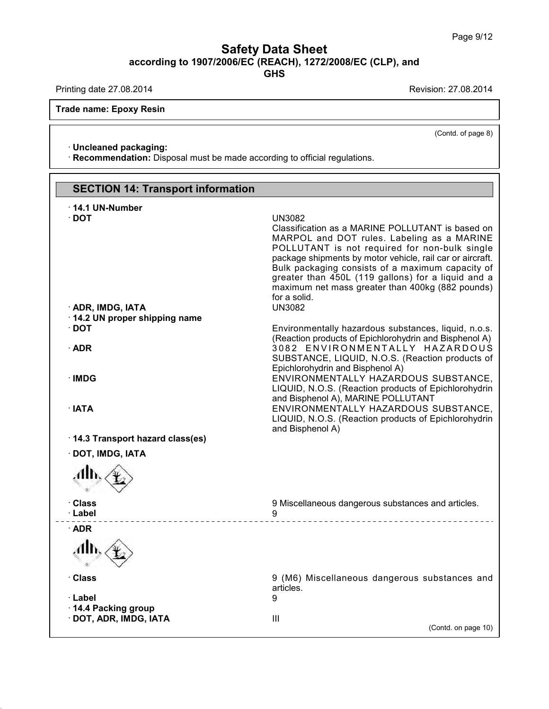## Page 9/<br> **Safety Data Sheet**<br>
according to 1907/2006/EC (REACH), 1272/2008/EC (CLP), and<br>
GHS **GHS** Safety Data Sheet<br>according to 1907/2006/EC (REACH), 1272/2008/EC (CLP), and<br>Printing date 27.08.2014<br>Frade name: Enoxy Pesin

39.1.1

Printing date 27.08.2014<br>Trade name: Epoxy Resin

 $\overline{(\text{Cond. of page 8})}$ 

**ade name: Epoxy Resin<br>· Uncleaned packaging:<br>· Recommendation:** Disposal m **· Uncleaned packaging:**<br>· **Recommendation:** Disposal must be made according to official regulations.

|                                                                            | (Contd. of page 8)                                                                                                                                                                                                                                                                                                                                                                                                           |
|----------------------------------------------------------------------------|------------------------------------------------------------------------------------------------------------------------------------------------------------------------------------------------------------------------------------------------------------------------------------------------------------------------------------------------------------------------------------------------------------------------------|
| · Uncleaned packaging:                                                     |                                                                                                                                                                                                                                                                                                                                                                                                                              |
| · Recommendation: Disposal must be made according to official regulations. |                                                                                                                                                                                                                                                                                                                                                                                                                              |
|                                                                            |                                                                                                                                                                                                                                                                                                                                                                                                                              |
| <b>SECTION 14: Transport information</b>                                   |                                                                                                                                                                                                                                                                                                                                                                                                                              |
| 14.1 UN-Number                                                             |                                                                                                                                                                                                                                                                                                                                                                                                                              |
| $\cdot$ DOT<br>· ADR, IMDG, IATA                                           | <b>UN3082</b><br>Classification as a MARINE POLLUTANT is based on<br>MARPOL and DOT rules. Labeling as a MARINE<br>POLLUTANT is not required for non-bulk single<br>package shipments by motor vehicle, rail car or aircraft.<br>Bulk packaging consists of a maximum capacity of<br>greater than 450L (119 gallons) for a liquid and a<br>maximum net mass greater than 400kg (882 pounds)<br>for a solid.<br><b>UN3082</b> |
| 14.2 UN proper shipping name                                               |                                                                                                                                                                                                                                                                                                                                                                                                                              |
| $\cdot$ DOT                                                                | Environmentally hazardous substances, liquid, n.o.s.<br>(Reaction products of Epichlorohydrin and Bisphenol A)                                                                                                                                                                                                                                                                                                               |
| $\cdot$ ADR                                                                | 3082 ENVIRONMENTALLY HAZARDOUS<br>SUBSTANCE, LIQUID, N.O.S. (Reaction products of<br>Epichlorohydrin and Bisphenol A)                                                                                                                                                                                                                                                                                                        |
| · IMDG                                                                     | ENVIRONMENTALLY HAZARDOUS SUBSTANCE,<br>LIQUID, N.O.S. (Reaction products of Epichlorohydrin<br>and Bisphenol A), MARINE POLLUTANT                                                                                                                                                                                                                                                                                           |
| $\cdot$ IATA                                                               | ENVIRONMENTALLY HAZARDOUS SUBSTANCE,<br>LIQUID, N.O.S. (Reaction products of Epichlorohydrin<br>and Bisphenol A)                                                                                                                                                                                                                                                                                                             |
| 14.3 Transport hazard class(es)                                            |                                                                                                                                                                                                                                                                                                                                                                                                                              |
| · DOT, IMDG, IATA                                                          |                                                                                                                                                                                                                                                                                                                                                                                                                              |
|                                                                            |                                                                                                                                                                                                                                                                                                                                                                                                                              |
| · Class<br>· Label                                                         | 9 Miscellaneous dangerous substances and articles.<br>9<br>_________________________                                                                                                                                                                                                                                                                                                                                         |
| $\cdot$ ADR                                                                |                                                                                                                                                                                                                                                                                                                                                                                                                              |
|                                                                            |                                                                                                                                                                                                                                                                                                                                                                                                                              |
| · Class                                                                    | 9 (M6) Miscellaneous dangerous substances and<br>articles.                                                                                                                                                                                                                                                                                                                                                                   |
| · Label                                                                    | 9                                                                                                                                                                                                                                                                                                                                                                                                                            |
| 14.4 Packing group<br>· DOT, ADR, IMDG, IATA                               | Ш<br>(Contd. on page 10)                                                                                                                                                                                                                                                                                                                                                                                                     |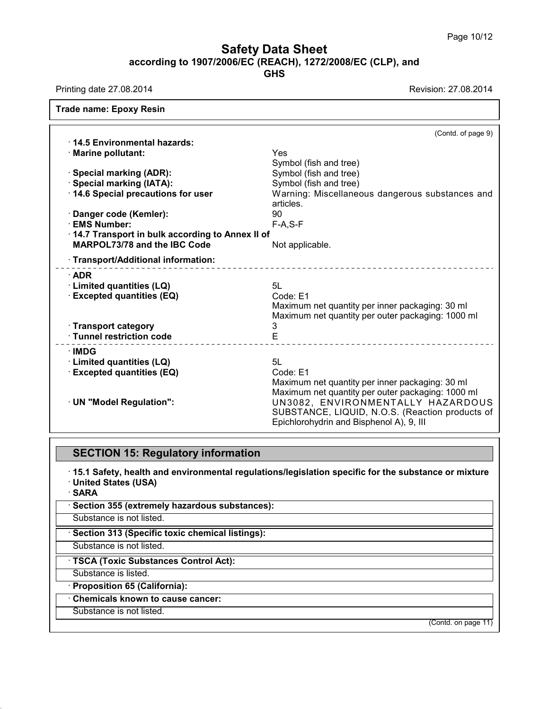## **Safety Data Sheet**<br> **according to 1907/2006/EC (REACH), 1272/2008/EC (CLP), and**<br> **GHS GHS Safety Data Sheet<br>
And Sheet**<br>
Printing date 27.08.2014<br>
Printing date 27.08.2014<br>
Revision: 27.08.2014<br>
Revision: 27.08.2014<br>
Revision: 27.08.2014

| Printing date 27.08.2014                        | Revision: 27.08.2014                                         |
|-------------------------------------------------|--------------------------------------------------------------|
| <b>Trade name: Epoxy Resin</b>                  |                                                              |
|                                                 | (Contd. of page 9)                                           |
| 14.5 Environmental hazards:                     |                                                              |
| · Marine pollutant:                             | Yes.                                                         |
|                                                 | Symbol (fish and tree)                                       |
| · Special marking (ADR):                        | Symbol (fish and tree)                                       |
| · Special marking (IATA):                       | Symbol (fish and tree)                                       |
| 14.6 Special precautions for user               | Warning: Miscellaneous dangerous substances and<br>articles. |
| Danger code (Kemler):                           | 90                                                           |
| <b>EMS Number:</b>                              | $F-A, S-F$                                                   |
| 14.7 Transport in bulk according to Annex II of |                                                              |
| <b>MARPOL73/78 and the IBC Code</b>             | Not applicable.                                              |
| · Transport/Additional information:             | ________________________________                             |
| $\cdot$ ADR                                     |                                                              |
| · Limited quantities (LQ)                       | 5L                                                           |
| <b>Excepted quantities (EQ)</b>                 | Code: E1                                                     |
|                                                 | Maximum net quantity per inner packaging: 30 ml              |
|                                                 | Maximum net quantity per outer packaging: 1000 ml            |
| · Transport category                            | 3                                                            |
| · Tunnel restriction code                       | E                                                            |
| ∙IMDG                                           |                                                              |
| · Limited quantities (LQ)                       | 5L                                                           |
| <b>Excepted quantities (EQ)</b>                 | Code: E1                                                     |
|                                                 | Maximum net quantity per inner packaging: 30 ml              |
|                                                 | Maximum net quantity per outer packaging: 1000 ml            |
| · UN "Model Regulation":                        | UN3082, ENVIRONMENTALLY HAZARDOUS                            |
|                                                 | SUBSTANCE, LIQUID, N.O.S. (Reaction products of              |
|                                                 | Epichlorohydrin and Bisphenol A), 9, III                     |
|                                                 |                                                              |
| <b>SECTION 15: Regulatory information</b>       |                                                              |

• Epichloronyarin and Bisphenol A), 9, ill<br>• **15.1 Safety, health and environmental regulations/legislation specific for the substance or mixture**<br>• United States (USA)<br>• SARA **SECTION 15: Regulatory information**<br>15.1 Safety, health and environmental regula<br>1 United States (USA) **Example 35 (Extremely hazardous substances):**<br>
SARA<br>
Section 355 (extremely hazardous substances):<br>
Substance is not listed. Substance is not listed.<br>
• **SARA**<br>
• **Section 355 (extremely hazardous substances):**<br>
• Substance is not listed.<br>
• **Section 313 (Specific toxic chemical listings):**<br>
• Substance is not listed.

· **SARA**

39.1.1

**Section 355 (extremely hazardous substances):**<br>Substance is not listed.<br>**· Section 313 (Specific toxic chemical listings):**<br>Substance is not listed.<br>**· TSCA (Toxic Substances Control Act):**<br>Substance is listed.<br>**· Proposi** 

**Substance is not listed.**<br> **CONTEX CONTEX CONTEX CONTEX CONTEX CONTEX CONTEX CONTEX CONTEX CONTEX CONTEX CONTEX CONTEX CONTEX CONTEX CONTEX CONTEX CONTEX CONTEX CONTEX CONTEX CONTEX CONTEX CONTEX CONTEX CONTEX CONTEX CONT** 

**TSCA (Toxic Substances Control Act):** 

 $\cdot$  Chemicals known to cause cancer:

(Contd. on page 11)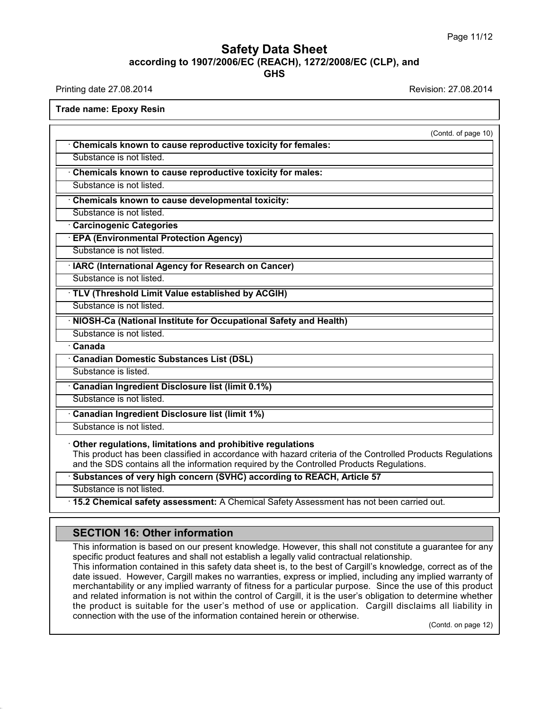## **Safety Data Sheet**<br> **according to 1907/2006/EC (REACH), 1272/2008/EC (CLP), and**<br> **GHS GHS** Safety Data Sheet<br>according to 1907/2006/EC (REACH), 1272/2008/EC (CLP), and<br>Printing date 27.08.2014<br>Frade name: Enoxy Pesin **Trade name: Epoxy Resin<br>
Trade name: Epoxy Resin<br>
Trade name: Epoxy Resin<br>
Trade name: Epoxy Resin<br>
Trade name: Epoxy Resin<br>
Trade name: Epoxy Resin<br>
Trade name: Epoxy Resin<br>
Trade name: Epoxy Resin<br>
Trade name: Epoxy Res**

| <b>Trade name: Epoxy Resin</b>                                                                                                                                                                                                                                        |                     |
|-----------------------------------------------------------------------------------------------------------------------------------------------------------------------------------------------------------------------------------------------------------------------|---------------------|
|                                                                                                                                                                                                                                                                       | (Contd. of page 10) |
| Chemicals known to cause reproductive toxicity for females:                                                                                                                                                                                                           |                     |
| Substance is not listed.                                                                                                                                                                                                                                              |                     |
| Chemicals known to cause reproductive toxicity for males:                                                                                                                                                                                                             |                     |
| Substance is not listed.                                                                                                                                                                                                                                              |                     |
| Chemicals known to cause developmental toxicity:                                                                                                                                                                                                                      |                     |
| Substance is not listed.                                                                                                                                                                                                                                              |                     |
| <b>Carcinogenic Categories</b>                                                                                                                                                                                                                                        |                     |
| <b>EPA (Environmental Protection Agency)</b>                                                                                                                                                                                                                          |                     |
| Substance is not listed.                                                                                                                                                                                                                                              |                     |
| · IARC (International Agency for Research on Cancer)                                                                                                                                                                                                                  |                     |
| Substance is not listed.                                                                                                                                                                                                                                              |                     |
| · TLV (Threshold Limit Value established by ACGIH)                                                                                                                                                                                                                    |                     |
| Substance is not listed.                                                                                                                                                                                                                                              |                     |
| · NIOSH-Ca (National Institute for Occupational Safety and Health)                                                                                                                                                                                                    |                     |
| Substance is not listed.                                                                                                                                                                                                                                              |                     |
| · Canada                                                                                                                                                                                                                                                              |                     |
| · Canadian Domestic Substances List (DSL)                                                                                                                                                                                                                             |                     |
| Substance is listed.                                                                                                                                                                                                                                                  |                     |
| Canadian Ingredient Disclosure list (limit 0.1%)                                                                                                                                                                                                                      |                     |
| Substance is not listed.                                                                                                                                                                                                                                              |                     |
| Canadian Ingredient Disclosure list (limit 1%)                                                                                                                                                                                                                        |                     |
| Substance is not listed.                                                                                                                                                                                                                                              |                     |
| Other regulations, limitations and prohibitive regulations<br>This product has been classified in accordance with hazard criteria of the Controlled Products Regulations<br>and the SDS contains all the information required by the Controlled Products Regulations. |                     |
| Substances of very high concern (SVHC) according to REACH, Article 57                                                                                                                                                                                                 |                     |
| Substance is not listed.                                                                                                                                                                                                                                              |                     |
| . 15.2 Chemical safety assessment: A Chemical Safety Assessment has not been carried out.                                                                                                                                                                             |                     |
|                                                                                                                                                                                                                                                                       |                     |
| <b>SECTION 16: Other information</b>                                                                                                                                                                                                                                  |                     |
| This information is based on our present knowledge. However, this shall not constitute a guarantee for any<br>specific product features and shall not establish a legally valid contractual relationship.                                                             |                     |

39.1.1

15.2 Chemical safety assessment: A Chemical Safety Assessment has not been carried out.<br>
SECTION 16: Other information<br>
This information is based on our present knowledge. However, this shall not constitute a guarantee for SECTION 16: Other information<br>This information is based on our present knowledge. However, this shall not constitute a gual<br>specific product features and shall not establish a legally valid contractual relationship.<br>This i

**SECTION 16: Other information**<br>This information is based on our present knowledge. However, this shall not constitute a guarantee for any<br>specific product features and shall not establish a legally valid contractual relat **SECTION 16: Other information**<br>This information is based on our present knowledge. However, this shall not constitute a guarantee for any<br>specific product features and shall not establish a legally valid contractual relat This information is based on our present knowledge. However, this shall not constitute a guarantee for any specific product features and shall not establish a legally valid contractual relationship.<br>This information contai This information is based on our present knowledge. However, this shall not constitute a guarantee for any<br>specific product features and shall not establish a legally valid contractual relationship.<br>This information contai specific product features and shall not establish a legally valid contractual relationship.<br>This information contained in this safety data sheet is, to the best of Cargill's knowledge, correct as of the<br>date issued. Howeve date issued. However, Cargill makes no warranties, express or implied, including any implied warranty of merchantability or any implied warranty of fitness for a particular purpose. Since the use of this product and relate e of this product<br>termine whether<br>ns all liability in<br>(Contd. on page 12)